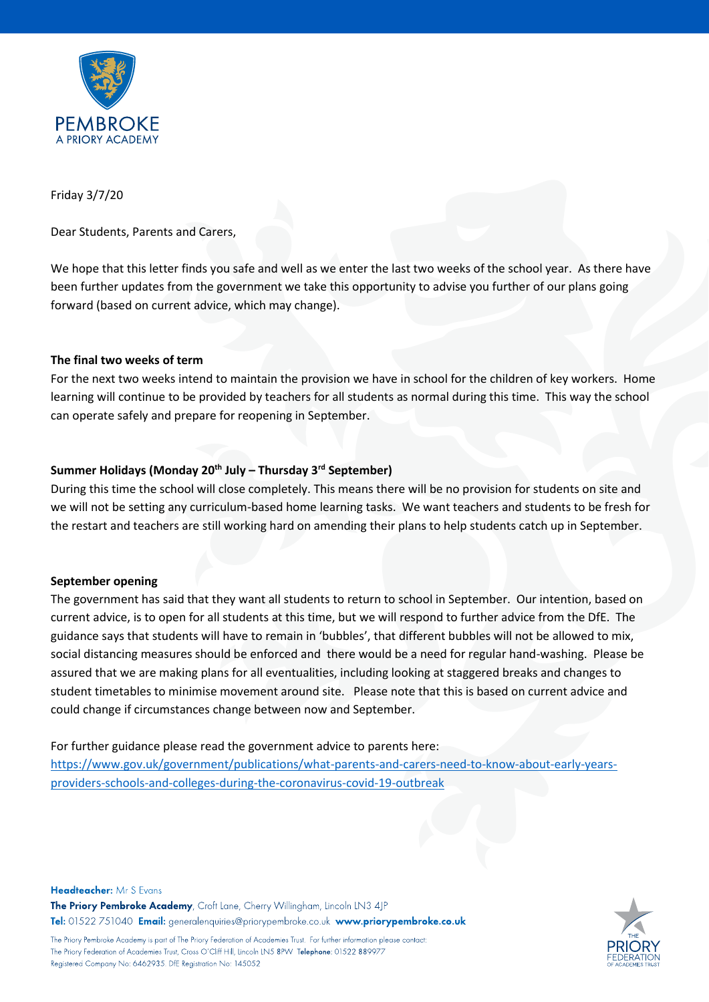

Friday 3/7/20

Dear Students, Parents and Carers,

We hope that this letter finds you safe and well as we enter the last two weeks of the school year. As there have been further updates from the government we take this opportunity to advise you further of our plans going forward (based on current advice, which may change).

## **The final two weeks of term**

For the next two weeks intend to maintain the provision we have in school for the children of key workers. Home learning will continue to be provided by teachers for all students as normal during this time. This way the school can operate safely and prepare for reopening in September.

## **Summer Holidays (Monday 20th July – Thursday 3 rd September)**

During this time the school will close completely. This means there will be no provision for students on site and we will not be setting any curriculum-based home learning tasks. We want teachers and students to be fresh for the restart and teachers are still working hard on amending their plans to help students catch up in September.

## **September opening**

The government has said that they want all students to return to school in September. Our intention, based on current advice, is to open for all students at this time, but we will respond to further advice from the DfE. The guidance says that students will have to remain in 'bubbles', that different bubbles will not be allowed to mix, social distancing measures should be enforced and there would be a need for regular hand-washing. Please be assured that we are making plans for all eventualities, including looking at staggered breaks and changes to student timetables to minimise movement around site. Please note that this is based on current advice and could change if circumstances change between now and September.

For further guidance please read the government advice to parents here:

[https://www.gov.uk/government/publications/what-parents-and-carers-need-to-know-about-early-years](https://www.gov.uk/government/publications/what-parents-and-carers-need-to-know-about-early-years-providers-schools-and-colleges-during-the-coronavirus-covid-19-outbreak)[providers-schools-and-colleges-during-the-coronavirus-covid-19-outbreak](https://www.gov.uk/government/publications/what-parents-and-carers-need-to-know-about-early-years-providers-schools-and-colleges-during-the-coronavirus-covid-19-outbreak)

Headteacher: Mr S Evans The Priory Pembroke Academy, Croft Lane, Cherry Willingham, Lincoln LN3 4JP Tel: 01522 751040 Email: generalenquiries@priorypembroke.co.uk www.priorypembroke.co.uk